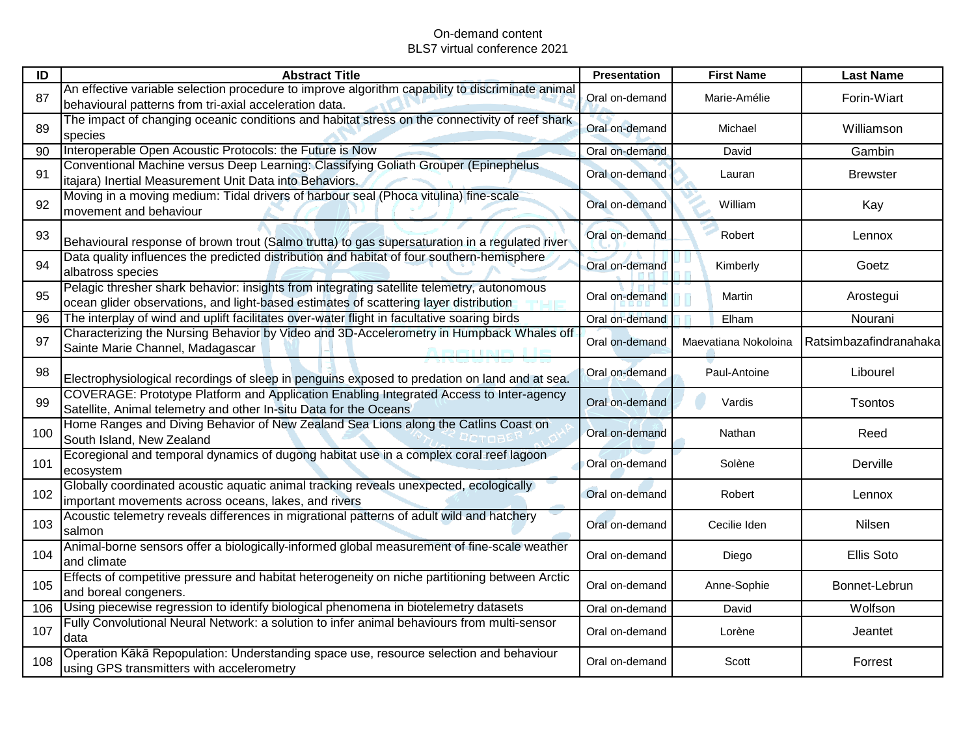| ID  | <b>Abstract Title</b>                                                                                                                                                               | <b>Presentation</b> | <b>First Name</b>    | <b>Last Name</b>       |
|-----|-------------------------------------------------------------------------------------------------------------------------------------------------------------------------------------|---------------------|----------------------|------------------------|
| 87  | An effective variable selection procedure to improve algorithm capability to discriminate animal<br>behavioural patterns from tri-axial acceleration data.                          | Oral on-demand      | Marie-Amélie         | Forin-Wiart            |
| 89  | The impact of changing oceanic conditions and habitat stress on the connectivity of reef shark<br>species                                                                           | Oral on-demand      | Michael              | Williamson             |
| 90  | Interoperable Open Acoustic Protocols: the Future is Now                                                                                                                            | Oral on-demand      | David                | Gambin                 |
| 91  | Conventional Machine versus Deep Learning: Classifying Goliath Grouper (Epinephelus<br>itajara) Inertial Measurement Unit Data into Behaviors.                                      | Oral on-demand      | Lauran               | <b>Brewster</b>        |
| 92  | Moving in a moving medium: Tidal drivers of harbour seal (Phoca vitulina) fine-scale<br>movement and behaviour                                                                      | Oral on-demand      | William              | Kay                    |
| 93  | Behavioural response of brown trout (Salmo trutta) to gas supersaturation in a regulated river                                                                                      | Oral on-demand      | Robert               | Lennox                 |
| 94  | Data quality influences the predicted distribution and habitat of four southern-hemisphere<br>albatross species                                                                     | Oral on-demand      | Kimberly             | Goetz                  |
| 95  | Pelagic thresher shark behavior: insights from integrating satellite telemetry, autonomous<br>ocean glider observations, and light-based estimates of scattering layer distribution | Oral on-demand      | Martin               | Arostegui              |
| 96  | The interplay of wind and uplift facilitates over-water flight in facultative soaring birds                                                                                         | Oral on-demand      | Elham                | Nourani                |
| 97  | Characterizing the Nursing Behavior by Video and 3D-Accelerometry in Humpback Whales off<br>Sainte Marie Channel, Madagascar                                                        | Oral on-demand      | Maevatiana Nokoloina | Ratsimbazafindranahaka |
| 98  | Electrophysiological recordings of sleep in penguins exposed to predation on land and at sea.                                                                                       | Oral on-demand      | Paul-Antoine         | Libourel               |
| 99  | COVERAGE: Prototype Platform and Application Enabling Integrated Access to Inter-agency<br>Satellite, Animal telemetry and other In-situ Data for the Oceans                        | Oral on-demand      | Vardis               | Tsontos                |
| 100 | Home Ranges and Diving Behavior of New Zealand Sea Lions along the Catlins Coast on<br>South Island, New Zealand                                                                    | Oral on-demand      | Nathan               | Reed                   |
| 101 | Ecoregional and temporal dynamics of dugong habitat use in a complex coral reef lagoon<br>ecosystem                                                                                 | Oral on-demand      | Solène               | Derville               |
| 102 | Globally coordinated acoustic aquatic animal tracking reveals unexpected, ecologically<br>important movements across oceans, lakes, and rivers                                      | Oral on-demand      | Robert               | Lennox                 |
| 103 | Acoustic telemetry reveals differences in migrational patterns of adult wild and hatchery<br>Isalmon                                                                                | Oral on-demand      | Cecilie Iden         | Nilsen                 |
| 104 | Animal-borne sensors offer a biologically-informed global measurement of fine-scale weather<br>and climate                                                                          | Oral on-demand      | Diego                | Ellis Soto             |
| 105 | Effects of competitive pressure and habitat heterogeneity on niche partitioning between Arctic<br>and boreal congeners.                                                             | Oral on-demand      | Anne-Sophie          | Bonnet-Lebrun          |
| 106 | Using piecewise regression to identify biological phenomena in biotelemetry datasets                                                                                                | Oral on-demand      | David                | Wolfson                |
| 107 | Fully Convolutional Neural Network: a solution to infer animal behaviours from multi-sensor<br>data                                                                                 | Oral on-demand      | Lorène               | Jeantet                |
| 108 | Operation Kākā Repopulation: Understanding space use, resource selection and behaviour<br>using GPS transmitters with accelerometry                                                 | Oral on-demand      | Scott                | Forrest                |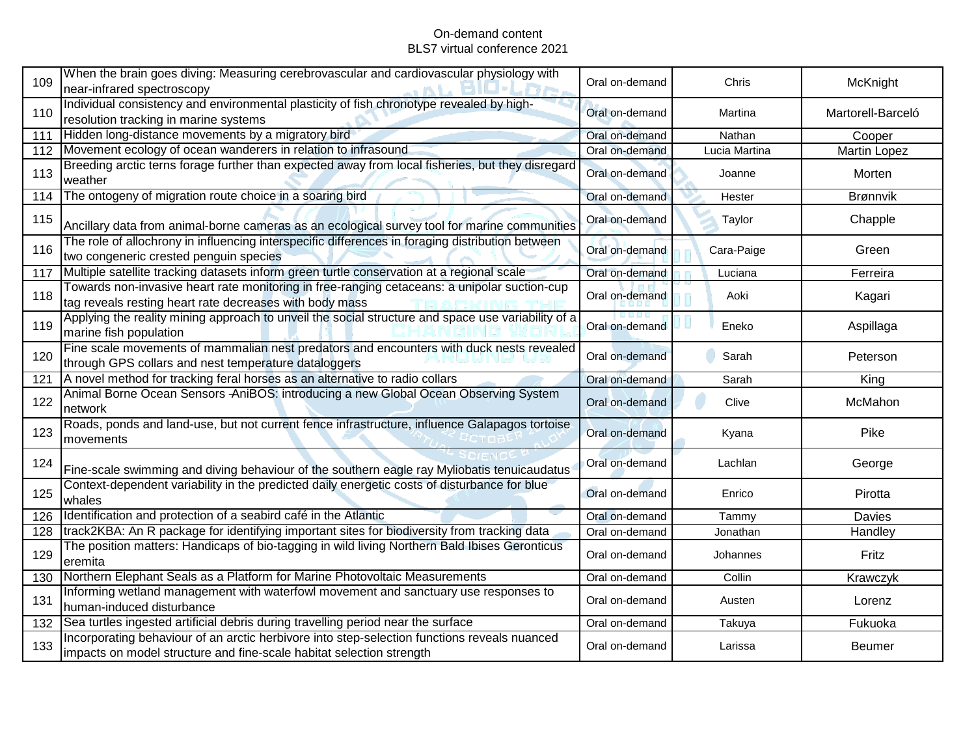| 109 | When the brain goes diving: Measuring cerebrovascular and cardiovascular physiology with<br>near-infrared spectroscopy                                               | Oral on-demand | Chris         | McKnight          |
|-----|----------------------------------------------------------------------------------------------------------------------------------------------------------------------|----------------|---------------|-------------------|
| 110 | Individual consistency and environmental plasticity of fish chronotype revealed by high-<br>resolution tracking in marine systems                                    | Oral on-demand | Martina       | Martorell-Barceló |
| 111 | Hidden long-distance movements by a migratory bird                                                                                                                   | Oral on-demand | Nathan        | Cooper            |
| 112 | Movement ecology of ocean wanderers in relation to infrasound                                                                                                        | Oral on-demand | Lucia Martina | Martin Lopez      |
| 113 | Breeding arctic terns forage further than expected away from local fisheries, but they disregard<br>weather                                                          | Oral on-demand | Joanne        | Morten            |
| 114 | The ontogeny of migration route choice in a soaring bird                                                                                                             | Oral on-demand | Hester        | Brønnvik          |
| 115 | Ancillary data from animal-borne cameras as an ecological survey tool for marine communities                                                                         | Oral on-demand | Taylor        | Chapple           |
| 116 | The role of allochrony in influencing interspecific differences in foraging distribution between<br>two congeneric crested penguin species                           | Oral on-demand | Cara-Paige    | Green             |
| 117 | Multiple satellite tracking datasets inform green turtle conservation at a regional scale                                                                            | Oral on-demand | Luciana       | Ferreira          |
| 118 | Towards non-invasive heart rate monitoring in free-ranging cetaceans: a unipolar suction-cup<br>tag reveals resting heart rate decreases with body mass              | Oral on-demand | Aoki          | Kagari            |
| 119 | Applying the reality mining approach to unveil the social structure and space use variability of a<br>marine fish population                                         | Oral on-demand | Eneko         | Aspillaga         |
| 120 | Fine scale movements of mammalian nest predators and encounters with duck nests revealed<br>through GPS collars and nest temperature dataloggers                     | Oral on-demand | Sarah         | Peterson          |
| 121 | A novel method for tracking feral horses as an alternative to radio collars                                                                                          | Oral on-demand | Sarah         | King              |
| 122 | Animal Borne Ocean Sensors AniBOS: introducing a new Global Ocean Observing System<br>network                                                                        | Oral on-demand | Clive         | McMahon           |
| 123 | Roads, ponds and land-use, but not current fence infrastructure, influence Galapagos tortoise<br>movements                                                           | Oral on-demand | Kyana         | Pike              |
| 124 | Fine-scale swimming and diving behaviour of the southern eagle ray Myliobatis tenuicaudatus                                                                          | Oral on-demand | Lachlan       | George            |
| 125 | Context-dependent variability in the predicted daily energetic costs of disturbance for blue<br>whales                                                               | Oral on-demand | Enrico        | Pirotta           |
| 126 | Identification and protection of a seabird café in the Atlantic                                                                                                      | Oral on-demand | Tammy         | Davies            |
| 128 | track2KBA: An R package for identifying important sites for biodiversity from tracking data                                                                          | Oral on-demand | Jonathan      | Handley           |
| 129 | The position matters: Handicaps of bio-tagging in wild living Northern Bald Ibises Geronticus<br>eremita                                                             | Oral on-demand | Johannes      | Fritz             |
| 130 | Northern Elephant Seals as a Platform for Marine Photovoltaic Measurements                                                                                           | Oral on-demand | Collin        | Krawczyk          |
| 131 | Informing wetland management with waterfowl movement and sanctuary use responses to<br>human-induced disturbance                                                     | Oral on-demand | Austen        | Lorenz            |
| 132 | Sea turtles ingested artificial debris during travelling period near the surface                                                                                     | Oral on-demand | Takuya        | Fukuoka           |
| 133 | Incorporating behaviour of an arctic herbivore into step-selection functions reveals nuanced<br>impacts on model structure and fine-scale habitat selection strength | Oral on-demand | Larissa       | Beumer            |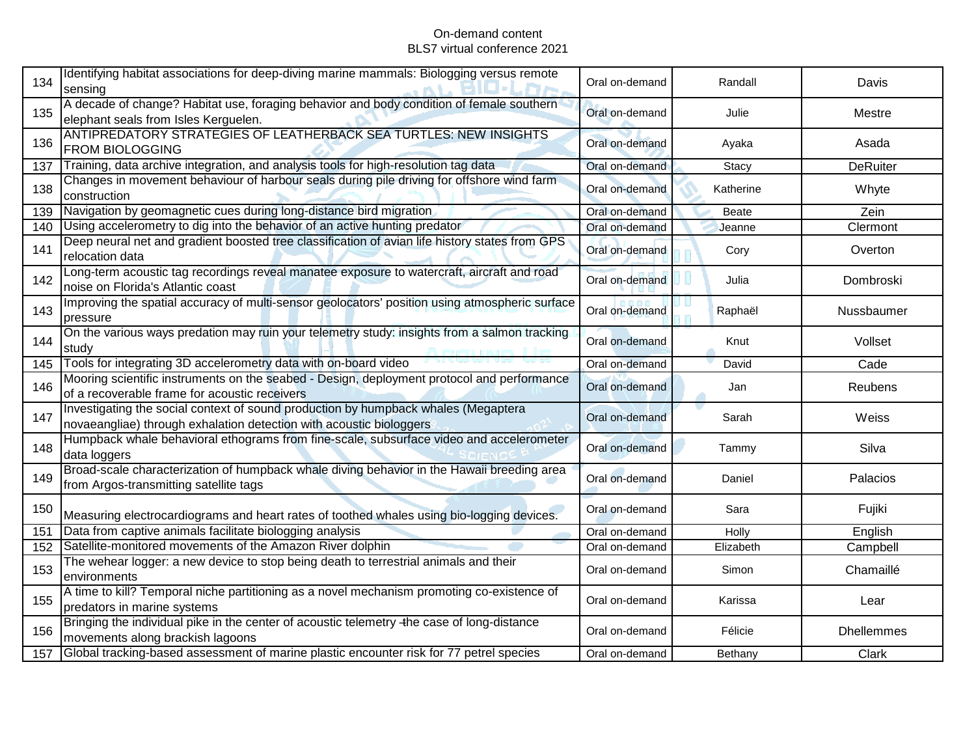| 134 | Identifying habitat associations for deep-diving marine mammals: Biologging versus remote<br>sensing                                                      | Oral on-demand | Randall      | Davis             |
|-----|-----------------------------------------------------------------------------------------------------------------------------------------------------------|----------------|--------------|-------------------|
| 135 | A decade of change? Habitat use, foraging behavior and body condition of female southern<br>elephant seals from Isles Kerguelen.                          | Oral on-demand | Julie        | Mestre            |
| 136 | ANTIPREDATORY STRATEGIES OF LEATHERBACK SEA TURTLES: NEW INSIGHTS<br><b>FROM BIOLOGGING</b>                                                               | Oral on-demand | Ayaka        | Asada             |
| 137 | Training, data archive integration, and analysis tools for high-resolution tag data                                                                       | Oral on-demand | Stacy        | <b>DeRuiter</b>   |
| 138 | Changes in movement behaviour of harbour seals during pile driving for offshore wind farm<br>construction                                                 | Oral on-demand | Katherine    | Whyte             |
| 139 | Navigation by geomagnetic cues during long-distance bird migration                                                                                        | Oral on-demand | <b>Beate</b> | Zein              |
| 140 | Using accelerometry to dig into the behavior of an active hunting predator                                                                                | Oral on-demand | Jeanne       | Clermont          |
| 141 | Deep neural net and gradient boosted tree classification of avian life history states from GPS<br>relocation data                                         | Oral on-demand | Cory         | Overton           |
| 142 | Long-term acoustic tag recordings reveal manatee exposure to watercraft, aircraft and road<br>noise on Florida's Atlantic coast                           | Oral on-demand | Julia        | Dombroski         |
| 143 | Improving the spatial accuracy of multi-sensor geolocators' position using atmospheric surface<br>pressure                                                | Oral on-demand | Raphaël      | Nussbaumer        |
| 144 | On the various ways predation may ruin your telemetry study: insights from a salmon tracking<br>study                                                     | Oral on-demand | Knut         | Vollset           |
| 145 | Tools for integrating 3D accelerometry data with on-board video                                                                                           | Oral on-demand | David        | Cade              |
| 146 | Mooring scientific instruments on the seabed - Design, deployment protocol and performance<br>of a recoverable frame for acoustic receivers               | Oral on-demand | Jan          | Reubens           |
| 147 | Investigating the social context of sound production by humpback whales (Megaptera<br>novaeangliae) through exhalation detection with acoustic biologgers | Oral on-demand | Sarah        | Weiss             |
| 148 | Humpback whale behavioral ethograms from fine-scale, subsurface video and accelerometer<br>data loggers                                                   | Oral on-demand | Tammy        | Silva             |
| 149 | Broad-scale characterization of humpback whale diving behavior in the Hawaii breeding area<br>from Argos-transmitting satellite tags                      | Oral on-demand | Daniel       | Palacios          |
| 150 | Measuring electrocardiograms and heart rates of toothed whales using bio-logging devices.                                                                 | Oral on-demand | Sara         | Fujiki            |
| 151 | Data from captive animals facilitate biologging analysis                                                                                                  | Oral on-demand | Holly        | English           |
| 152 | Satellite-monitored movements of the Amazon River dolphin                                                                                                 | Oral on-demand | Elizabeth    | Campbell          |
| 153 | The wehear logger: a new device to stop being death to terrestrial animals and their<br>environments                                                      | Oral on-demand | Simon        | Chamaillé         |
| 155 | A time to kill? Temporal niche partitioning as a novel mechanism promoting co-existence of<br>predators in marine systems                                 | Oral on-demand | Karissa      | Lear              |
| 156 | Bringing the individual pike in the center of acoustic telemetry -the case of long-distance<br>movements along brackish lagoons                           | Oral on-demand | Félicie      | <b>Dhellemmes</b> |
| 157 | Global tracking-based assessment of marine plastic encounter risk for 77 petrel species                                                                   | Oral on-demand | Bethany      | Clark             |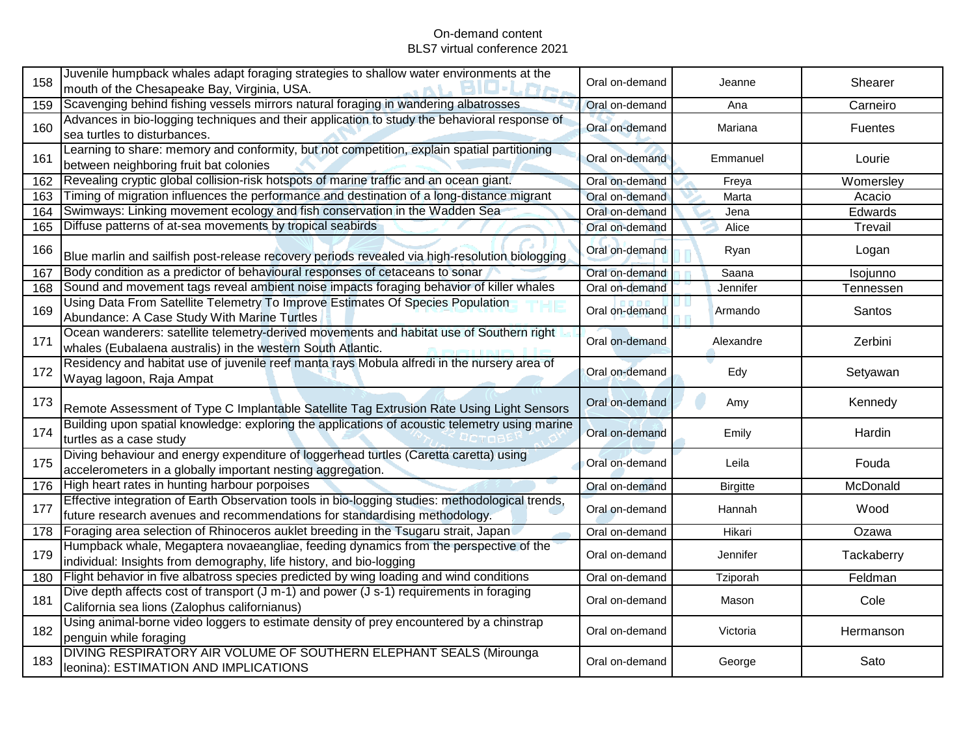| 158 | Juvenile humpback whales adapt foraging strategies to shallow water environments at the<br>mouth of the Chesapeake Bay, Virginia, USA.                                        | Oral on-demand | Jeanne          | Shearer        |
|-----|-------------------------------------------------------------------------------------------------------------------------------------------------------------------------------|----------------|-----------------|----------------|
| 159 | Scavenging behind fishing vessels mirrors natural foraging in wandering albatrosses                                                                                           | Oral on-demand | Ana             | Carneiro       |
| 160 | Advances in bio-logging techniques and their application to study the behavioral response of<br>sea turtles to disturbances.                                                  | Oral on-demand | Mariana         | <b>Fuentes</b> |
| 161 | Learning to share: memory and conformity, but not competition, explain spatial partitioning<br>between neighboring fruit bat colonies                                         | Oral on-demand | Emmanuel        | Lourie         |
| 162 | Revealing cryptic global collision-risk hotspots of marine traffic and an ocean giant.                                                                                        | Oral on-demand | Freya           | Womersley      |
| 163 | Timing of migration influences the performance and destination of a long-distance migrant                                                                                     | Oral on-demand | Marta           | Acacio         |
| 164 | Swimways: Linking movement ecology and fish conservation in the Wadden Sea                                                                                                    | Oral on-demand | Jena            | Edwards        |
| 165 | Diffuse patterns of at-sea movements by tropical seabirds                                                                                                                     | Oral on-demand | Alice           | Trevail        |
| 166 | Blue marlin and sailfish post-release recovery periods revealed via high-resolution biologging                                                                                | Oral on-demand | Ryan            | Logan          |
| 167 | Body condition as a predictor of behavioural responses of cetaceans to sonar                                                                                                  | Oral on-demand | Saana           | Isojunno       |
| 168 | Sound and movement tags reveal ambient noise impacts foraging behavior of killer whales                                                                                       | Oral on-demand | Jennifer        | Tennessen      |
| 169 | Using Data From Satellite Telemetry To Improve Estimates Of Species Population<br>Abundance: A Case Study With Marine Turtles                                                 | Oral on-demand | Armando         | Santos         |
| 171 | Ocean wanderers: satellite telemetry-derived movements and habitat use of Southern right<br>whales (Eubalaena australis) in the western South Atlantic.                       | Oral on-demand | Alexandre       | Zerbini        |
| 172 | Residency and habitat use of juvenile reef manta rays Mobula alfredi in the nursery area of<br>Wayag lagoon, Raja Ampat                                                       | Oral on-demand | Edy             | Setyawan       |
| 173 | Remote Assessment of Type C Implantable Satellite Tag Extrusion Rate Using Light Sensors                                                                                      | Oral on-demand | Amy             | Kennedy        |
| 174 | Building upon spatial knowledge: exploring the applications of acoustic telemetry using marine<br>turtles as a case study                                                     | Oral on-demand | Emily           | Hardin         |
| 175 | Diving behaviour and energy expenditure of loggerhead turtles (Caretta caretta) using<br>accelerometers in a globally important nesting aggregation.                          | Oral on-demand | Leila           | Fouda          |
| 176 | High heart rates in hunting harbour porpoises                                                                                                                                 | Oral on-demand | <b>Birgitte</b> | McDonald       |
| 177 | Effective integration of Earth Observation tools in bio-logging studies: methodological trends,<br>future research avenues and recommendations for standardising methodology. | Oral on-demand | Hannah          | Wood           |
| 178 | Foraging area selection of Rhinoceros auklet breeding in the Tsugaru strait, Japan                                                                                            | Oral on-demand | Hikari          | Ozawa          |
| 179 | Humpback whale, Megaptera novaeangliae, feeding dynamics from the perspective of the<br>individual: Insights from demography, life history, and bio-logging                   | Oral on-demand | Jennifer        | Tackaberry     |
| 180 | Flight behavior in five albatross species predicted by wing loading and wind conditions                                                                                       | Oral on-demand | Tziporah        | Feldman        |
| 181 | Dive depth affects cost of transport $(J m-1)$ and power $(J s-1)$ requirements in foraging<br>California sea lions (Zalophus californianus)                                  | Oral on-demand | Mason           | Cole           |
| 182 | Using animal-borne video loggers to estimate density of prey encountered by a chinstrap<br>penguin while foraging                                                             | Oral on-demand | Victoria        | Hermanson      |
| 183 | DIVING RESPIRATORY AIR VOLUME OF SOUTHERN ELEPHANT SEALS (Mirounga<br>leonina): ESTIMATION AND IMPLICATIONS                                                                   | Oral on-demand | George          | Sato           |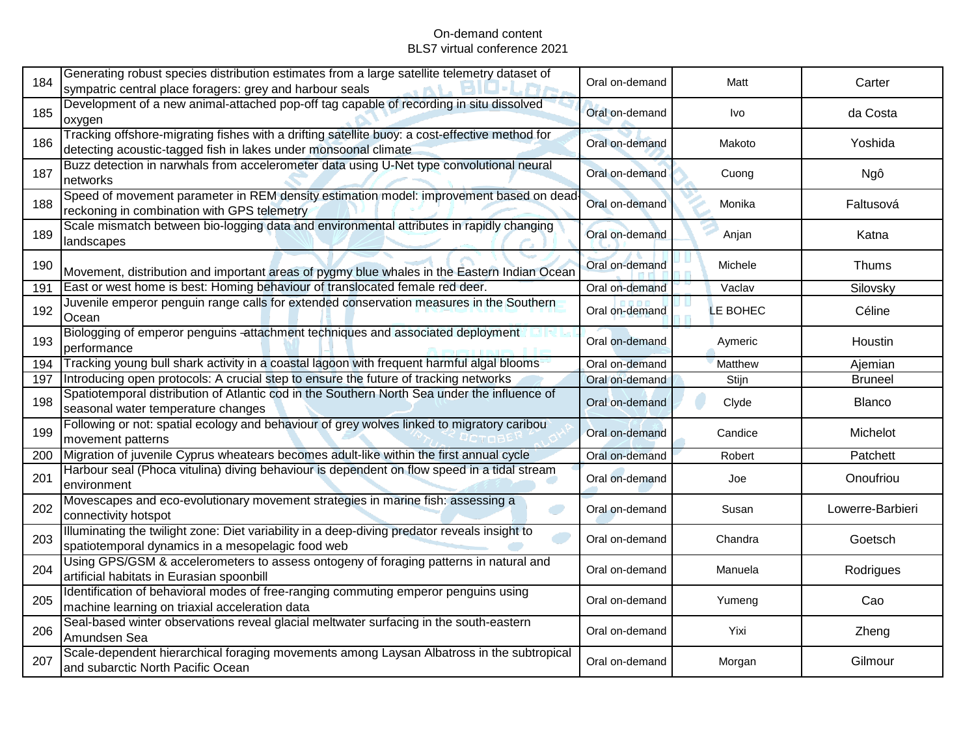| 184 | Generating robust species distribution estimates from a large satellite telemetry dataset of<br>sympatric central place foragers: grey and harbour seals          | Oral on-demand | Matt     | Carter           |
|-----|-------------------------------------------------------------------------------------------------------------------------------------------------------------------|----------------|----------|------------------|
| 185 | Development of a new animal-attached pop-off tag capable of recording in situ dissolved<br>oxygen                                                                 | Oral on-demand | Ivo      | da Costa         |
| 186 | Tracking offshore-migrating fishes with a drifting satellite buoy: a cost-effective method for<br>detecting acoustic-tagged fish in lakes under monsoonal climate | Oral on-demand | Makoto   | Yoshida          |
| 187 | Buzz detection in narwhals from accelerometer data using U-Net type convolutional neural<br>networks                                                              | Oral on-demand | Cuong    | Ngô              |
| 188 | Speed of movement parameter in REM density estimation model: improvement based on dead-<br>reckoning in combination with GPS telemetry                            | Oral on-demand | Monika   | Faltusová        |
| 189 | Scale mismatch between bio-logging data and environmental attributes in rapidly changing<br>landscapes                                                            | Oral on-demand | Anjan    | Katna            |
| 190 | Movement, distribution and important areas of pygmy blue whales in the Eastern Indian Ocean                                                                       | Oral on-demand | Michele  | Thums            |
| 191 | East or west home is best: Homing behaviour of translocated female red deer.                                                                                      | Oral on-demand | Vaclav   | Silovsky         |
| 192 | Juvenile emperor penguin range calls for extended conservation measures in the Southern<br>Ocean                                                                  | Oral on-demand | LE BOHEC | Céline           |
| 193 | Biologging of emperor penguins -attachment techniques and associated deployment<br>performance                                                                    | Oral on-demand | Aymeric  | Houstin          |
| 194 | Tracking young bull shark activity in a coastal lagoon with frequent harmful algal blooms                                                                         | Oral on-demand | Matthew  | Ajemian          |
| 197 | Introducing open protocols: A crucial step to ensure the future of tracking networks                                                                              | Oral on-demand | Stijn    | <b>Bruneel</b>   |
| 198 | Spatiotemporal distribution of Atlantic cod in the Southern North Sea under the influence of<br>seasonal water temperature changes                                | Oral on-demand | Clyde    | <b>Blanco</b>    |
| 199 | Following or not: spatial ecology and behaviour of grey wolves linked to migratory caribou<br>movement patterns                                                   | Oral on-demand | Candice  | Michelot         |
| 200 | Migration of juvenile Cyprus wheatears becomes adult-like within the first annual cycle                                                                           | Oral on-demand | Robert   | Patchett         |
| 201 | Harbour seal (Phoca vitulina) diving behaviour is dependent on flow speed in a tidal stream<br>environment                                                        | Oral on-demand | Joe      | Onoufriou        |
| 202 | Movescapes and eco-evolutionary movement strategies in marine fish: assessing a<br>connectivity hotspot                                                           | Oral on-demand | Susan    | Lowerre-Barbieri |
| 203 | Illuminating the twilight zone: Diet variability in a deep-diving predator reveals insight to<br>spatiotemporal dynamics in a mesopelagic food web                | Oral on-demand | Chandra  | Goetsch          |
| 204 | Using GPS/GSM & accelerometers to assess ontogeny of foraging patterns in natural and<br>artificial habitats in Eurasian spoonbill                                | Oral on-demand | Manuela  | Rodrigues        |
| 205 | Identification of behavioral modes of free-ranging commuting emperor penguins using<br>machine learning on triaxial acceleration data                             | Oral on-demand | Yumeng   | Cao              |
| 206 | Seal-based winter observations reveal glacial meltwater surfacing in the south-eastern<br>Amundsen Sea                                                            | Oral on-demand | Yixi     | Zheng            |
| 207 | Scale-dependent hierarchical foraging movements among Laysan Albatross in the subtropical<br>and subarctic North Pacific Ocean                                    | Oral on-demand | Morgan   | Gilmour          |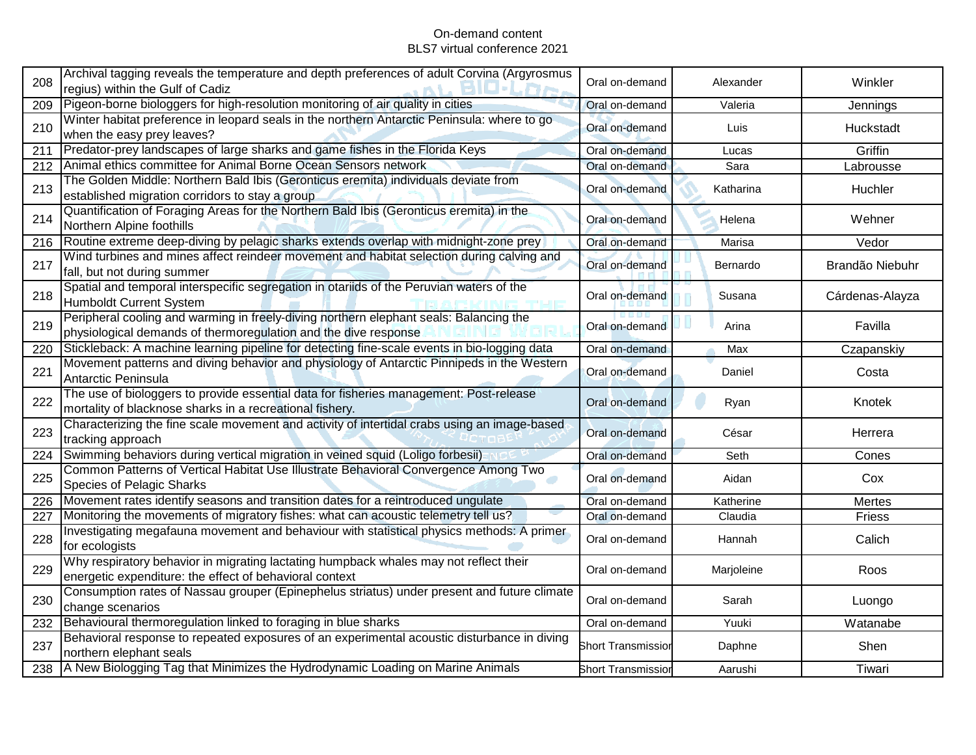| 208 | Archival tagging reveals the temperature and depth preferences of adult Corvina (Argyrosmus<br>regius) within the Gulf of Cadiz                           | Oral on-demand            | Alexander  | Winkler         |
|-----|-----------------------------------------------------------------------------------------------------------------------------------------------------------|---------------------------|------------|-----------------|
| 209 | Pigeon-borne biologgers for high-resolution monitoring of air quality in cities                                                                           | Oral on-demand            | Valeria    | Jennings        |
| 210 | Winter habitat preference in leopard seals in the northern Antarctic Peninsula: where to go<br>when the easy prey leaves?                                 | Oral on-demand            | Luis       | Huckstadt       |
| 211 | Predator-prey landscapes of large sharks and game fishes in the Florida Keys                                                                              | Oral on-demand            | Lucas      | Griffin         |
| 212 | Animal ethics committee for Animal Borne Ocean Sensors network                                                                                            | Oral on-demand            | Sara       | Labrousse       |
| 213 | The Golden Middle: Northern Bald Ibis (Geronticus eremita) individuals deviate from<br>established migration corridors to stay a group                    | Oral on-demand            | Katharina  | Huchler         |
| 214 | Quantification of Foraging Areas for the Northern Bald Ibis (Geronticus eremita) in the<br>Northern Alpine foothills                                      | Oral on-demand            | Helena     | Wehner          |
| 216 | Routine extreme deep-diving by pelagic sharks extends overlap with midnight-zone prey                                                                     | Oral on-demand            | Marisa     | Vedor           |
| 217 | Wind turbines and mines affect reindeer movement and habitat selection during calving and<br>fall, but not during summer                                  | Oral on-demand            | Bernardo   | Brandão Niebuhr |
| 218 | Spatial and temporal interspecific segregation in otariids of the Peruvian waters of the<br><b>Humboldt Current System</b>                                | Oral on-demand            | Susana     | Cárdenas-Alayza |
| 219 | Peripheral cooling and warming in freely-diving northern elephant seals: Balancing the<br>physiological demands of thermoregulation and the dive response | Oral on-demand            | Arina      | Favilla         |
| 220 | Stickleback: A machine learning pipeline for detecting fine-scale events in bio-logging data                                                              | Oral on-demand            | Max        | Czapanskiy      |
| 221 | Movement patterns and diving behavior and physiology of Antarctic Pinnipeds in the Western<br>Antarctic Peninsula                                         | Oral on-demand            | Daniel     | Costa           |
| 222 | The use of biologgers to provide essential data for fisheries management: Post-release<br>mortality of blacknose sharks in a recreational fishery.        | Oral on-demand            | Ryan       | Knotek          |
| 223 | Characterizing the fine scale movement and activity of intertidal crabs using an image-based<br>tracking approach                                         | Oral on-demand            | César      | Herrera         |
| 224 | Swimming behaviors during vertical migration in veined squid (Loligo forbesii)                                                                            | Oral on-demand            | Seth       | Cones           |
| 225 | Common Patterns of Vertical Habitat Use Illustrate Behavioral Convergence Among Two<br><b>Species of Pelagic Sharks</b>                                   | Oral on-demand            | Aidan      | Cox             |
| 226 | Movement rates identify seasons and transition dates for a reintroduced ungulate                                                                          | Oral on-demand            | Katherine  | <b>Mertes</b>   |
| 227 | Monitoring the movements of migratory fishes: what can acoustic telemetry tell us?                                                                        | Oral on-demand            | Claudia    | Friess          |
| 228 | Investigating megafauna movement and behaviour with statistical physics methods: A primer<br>for ecologists                                               | Oral on-demand            | Hannah     | Calich          |
| 229 | Why respiratory behavior in migrating lactating humpback whales may not reflect their<br>energetic expenditure: the effect of behavioral context          | Oral on-demand            | Marjoleine | Roos            |
| 230 | Consumption rates of Nassau grouper (Epinephelus striatus) under present and future climate<br>change scenarios                                           | Oral on-demand            | Sarah      | Luongo          |
| 232 | Behavioural thermoregulation linked to foraging in blue sharks                                                                                            | Oral on-demand            | Yuuki      | Watanabe        |
| 237 | Behavioral response to repeated exposures of an experimental acoustic disturbance in diving<br>northern elephant seals                                    | <b>Short Transmission</b> | Daphne     | Shen            |
|     | 238   A New Biologging Tag that Minimizes the Hydrodynamic Loading on Marine Animals                                                                      | <b>Short Transmission</b> | Aarushi    | Tiwari          |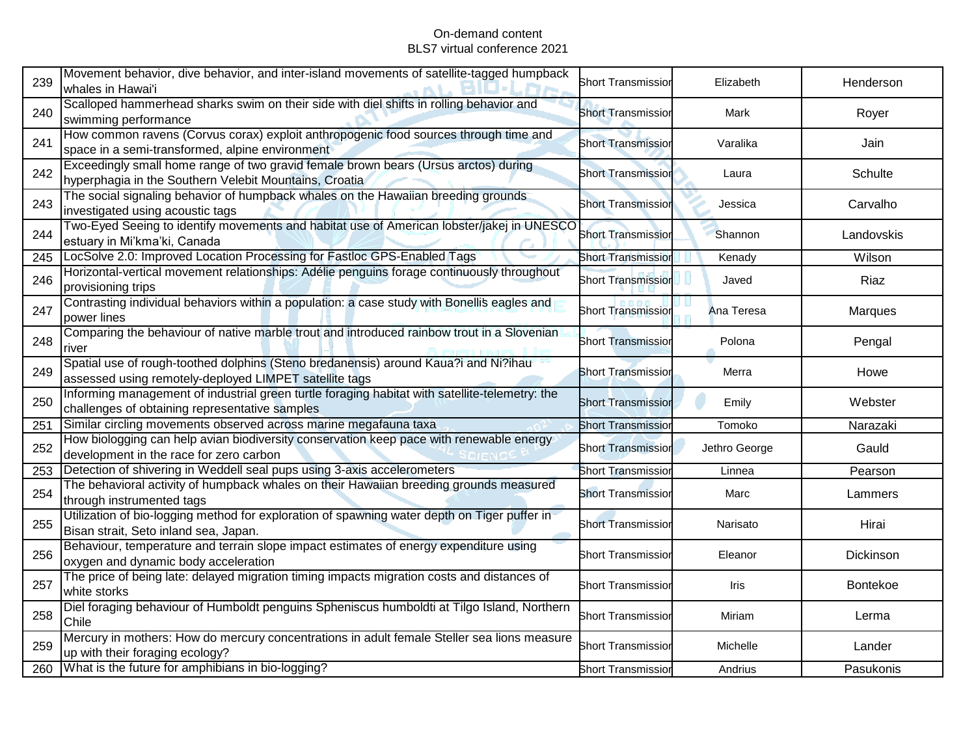| 239 | Movement behavior, dive behavior, and inter-island movements of satellite-tagged humpback<br>whales in Hawai'i                                   | <b>Short Transmissior</b> | Elizabeth     | Henderson       |
|-----|--------------------------------------------------------------------------------------------------------------------------------------------------|---------------------------|---------------|-----------------|
| 240 | Scalloped hammerhead sharks swim on their side with diel shifts in rolling behavior and<br>swimming performance                                  | <b>Short Transmissior</b> | Mark          | Royer           |
| 241 | How common ravens (Corvus corax) exploit anthropogenic food sources through time and<br>space in a semi-transformed, alpine environment          | <b>Short Transmissior</b> | Varalika      | Jain            |
| 242 | Exceedingly small home range of two gravid female brown bears (Ursus arctos) during<br>hyperphagia in the Southern Velebit Mountains, Croatia    | <b>Short Transmissior</b> | Laura         | Schulte         |
| 243 | The social signaling behavior of humpback whales on the Hawaiian breeding grounds<br>investigated using acoustic tags                            | <b>Short Transmission</b> | Jessica       | Carvalho        |
| 244 | Two-Eyed Seeing to identify movements and habitat use of American lobster/jakej in UNESCO<br>estuary in Mi'kma'ki, Canada                        | <b>Short Transmissior</b> | Shannon       | Landovskis      |
| 245 | LocSolve 2.0: Improved Location Processing for Fastloc GPS-Enabled Tags                                                                          | <b>Short Transmissior</b> | Kenady        | Wilson          |
| 246 | Horizontal-vertical movement relationships: Adélie penguins forage continuously throughout<br>provisioning trips                                 | <b>Short Transmission</b> | Javed         | Riaz            |
| 247 | Contrasting individual behaviors within a population: a case study with Bonellis eagles and<br>power lines                                       | <b>Short Transmission</b> | Ana Teresa    | Marques         |
| 248 | Comparing the behaviour of native marble trout and introduced rainbow trout in a Slovenian<br>river                                              | <b>Short Transmissior</b> | Polona        | Pengal          |
| 249 | Spatial use of rough-toothed dolphins (Steno bredanensis) around Kaua?i and Ni?ihau<br>assessed using remotely-deployed LIMPET satellite tags    | <b>Short Transmission</b> | Merra         | Howe            |
| 250 | Informing management of industrial green turtle foraging habitat with satellite-telemetry: the<br>challenges of obtaining representative samples | <b>Short Transmission</b> | Emily         | Webster         |
| 251 | Similar circling movements observed across marine megafauna taxa                                                                                 | <b>Short Transmissio</b>  | Tomoko        | Narazaki        |
| 252 | How biologging can help avian biodiversity conservation keep pace with renewable energy<br>development in the race for zero carbon               | <b>Short Transmission</b> | Jethro George | Gauld           |
| 253 | Detection of shivering in Weddell seal pups using 3-axis accelerometers                                                                          | <b>Short Transmissior</b> | Linnea        | Pearson         |
| 254 | The behavioral activity of humpback whales on their Hawaiian breeding grounds measured<br>through instrumented tags                              | <b>Short Transmissior</b> | Marc          | Lammers         |
| 255 | Utilization of bio-logging method for exploration of spawning water depth on Tiger puffer in<br>Bisan strait, Seto inland sea, Japan.            | Short Transmissior        | Narisato      | Hirai           |
| 256 | Behaviour, temperature and terrain slope impact estimates of energy expenditure using<br>oxygen and dynamic body acceleration                    | <b>Short Transmissior</b> | Eleanor       | Dickinson       |
| 257 | The price of being late: delayed migration timing impacts migration costs and distances of<br>white storks                                       | <b>Short Transmissior</b> | Iris          | <b>Bontekoe</b> |
| 258 | Diel foraging behaviour of Humboldt penguins Spheniscus humboldti at Tilgo Island, Northern<br>Chile                                             | <b>Short Transmissior</b> | Miriam        | Lerma           |
| 259 | Mercury in mothers: How do mercury concentrations in adult female Steller sea lions measure<br>up with their foraging ecology?                   | <b>Short Transmissior</b> | Michelle      | Lander          |
| 260 | What is the future for amphibians in bio-logging?                                                                                                | <b>Short Transmission</b> | Andrius       | Pasukonis       |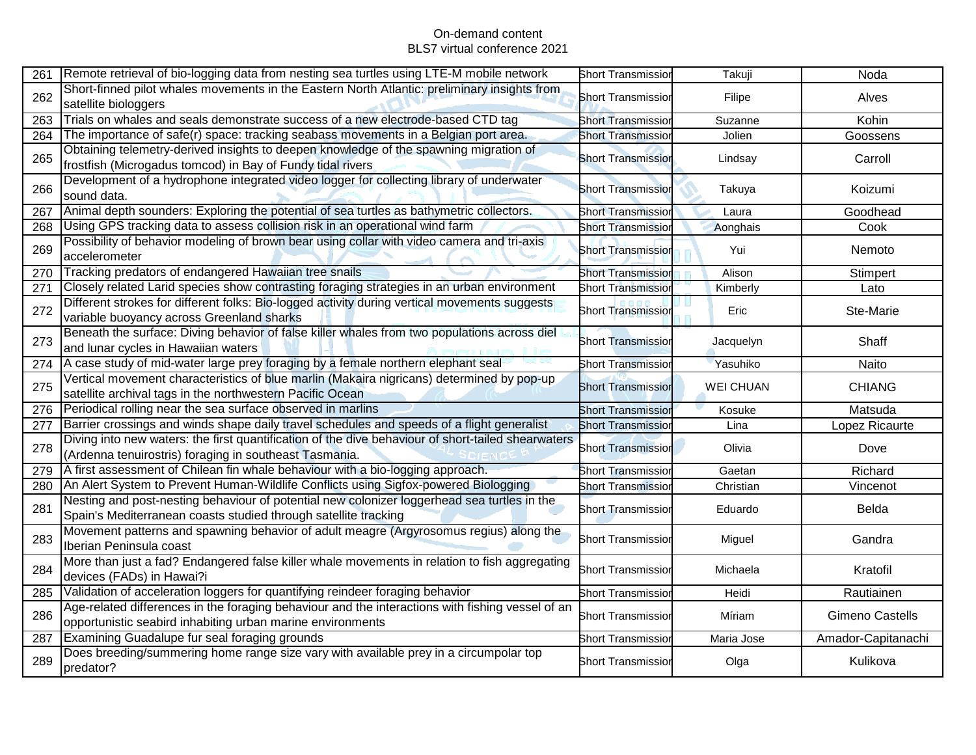| 261 | Remote retrieval of bio-logging data from nesting sea turtles using LTE-M mobile network                                                                       | <b>Short Transmission</b> | Takuji           | Noda                   |
|-----|----------------------------------------------------------------------------------------------------------------------------------------------------------------|---------------------------|------------------|------------------------|
| 262 | Short-finned pilot whales movements in the Eastern North Atlantic: preliminary insights from<br>satellite biologgers                                           | <b>Short Transmissior</b> | Filipe           | Alves                  |
| 263 | Trials on whales and seals demonstrate success of a new electrode-based CTD tag                                                                                | <b>Short Transmission</b> | Suzanne          | Kohin                  |
| 264 | The importance of safe(r) space: tracking seabass movements in a Belgian port area.                                                                            | <b>Short Transmission</b> | Jolien           | Goossens               |
| 265 | Obtaining telemetry-derived insights to deepen knowledge of the spawning migration of<br>frostfish (Microgadus tomcod) in Bay of Fundy tidal rivers            | <b>Short Transmission</b> | Lindsay          | Carroll                |
| 266 | Development of a hydrophone integrated video logger for collecting library of underwater<br>sound data.                                                        | <b>Short Transmissior</b> | Takuya           | Koizumi                |
| 267 | Animal depth sounders: Exploring the potential of sea turtles as bathymetric collectors.                                                                       | <b>Short Transmission</b> | Laura            | Goodhead               |
| 268 | Using GPS tracking data to assess collision risk in an operational wind farm                                                                                   | <b>Short Transmission</b> | Aonghais         | Cook                   |
| 269 | Possibility of behavior modeling of brown bear using collar with video camera and tri-axis<br>accelerometer                                                    | <b>Short Transmission</b> | Yui              | Nemoto                 |
| 270 | Tracking predators of endangered Hawaiian tree snails                                                                                                          | <b>Short Transmission</b> | Alison           | Stimpert               |
| 271 | Closely related Larid species show contrasting foraging strategies in an urban environment                                                                     | <b>Short Transmission</b> | Kimberly         | Lato                   |
| 272 | Different strokes for different folks: Bio-logged activity during vertical movements suggests<br>variable buoyancy across Greenland sharks                     | <b>Short Transmission</b> | Eric             | Ste-Marie              |
| 273 | Beneath the surface: Diving behavior of false killer whales from two populations across diel<br>and lunar cycles in Hawaiian waters                            | <b>Short Transmissior</b> | Jacquelyn        | Shaff                  |
| 274 | A case study of mid-water large prey foraging by a female northern elephant seal                                                                               | <b>Short Transmissior</b> | Yasuhiko         | Naito                  |
| 275 | Vertical movement characteristics of blue marlin (Makaira nigricans) determined by pop-up<br>satellite archival tags in the northwestern Pacific Ocean         | <b>Short Transmission</b> | <b>WEI CHUAN</b> | <b>CHIANG</b>          |
| 276 | Periodical rolling near the sea surface observed in marlins                                                                                                    | <b>Short Transmission</b> | Kosuke           | Matsuda                |
| 277 | Barrier crossings and winds shape daily travel schedules and speeds of a flight generalist                                                                     | <b>Short Transmission</b> | Lina             | Lopez Ricaurte         |
| 278 | Diving into new waters: the first quantification of the dive behaviour of short-tailed shearwaters<br>(Ardenna tenuirostris) foraging in southeast Tasmania.   | <b>Short Transmission</b> | Olivia           | Dove                   |
| 279 | A first assessment of Chilean fin whale behaviour with a bio-logging approach.                                                                                 | <b>Short Transmission</b> | Gaetan           | Richard                |
| 280 | An Alert System to Prevent Human-Wildlife Conflicts using Sigfox-powered Biologging                                                                            | <b>Short Transmission</b> | Christian        | Vincenot               |
| 281 | Nesting and post-nesting behaviour of potential new colonizer loggerhead sea turtles in the<br>Spain's Mediterranean coasts studied through satellite tracking | <b>Short Transmissior</b> | Eduardo          | Belda                  |
| 283 | Movement patterns and spawning behavior of adult meagre (Argyrosomus regius) along the<br>Iberian Peninsula coast                                              | <b>Short Transmissior</b> | Miguel           | Gandra                 |
| 284 | More than just a fad? Endangered false killer whale movements in relation to fish aggregating<br>devices (FADs) in Hawai?i                                     | <b>Short Transmissior</b> | Michaela         | Kratofil               |
| 285 | Validation of acceleration loggers for quantifying reindeer foraging behavior                                                                                  | <b>Short Transmissior</b> | Heidi            | Rautiainen             |
| 286 | Age-related differences in the foraging behaviour and the interactions with fishing vessel of an<br>opportunistic seabird inhabiting urban marine environments | <b>Short Transmissior</b> | Míriam           | <b>Gimeno Castells</b> |
| 287 | Examining Guadalupe fur seal foraging grounds                                                                                                                  | <b>Short Transmissior</b> | Maria Jose       | Amador-Capitanachi     |
| 289 | Does breeding/summering home range size vary with available prey in a circumpolar top<br>predator?                                                             | <b>Short Transmissior</b> | Olga             | Kulikova               |